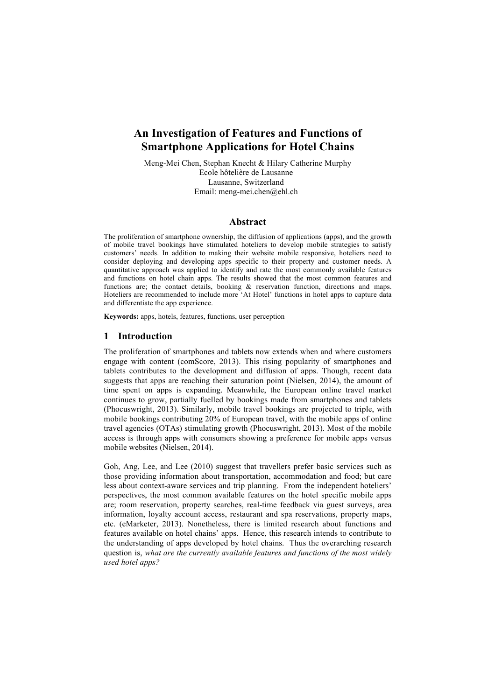# **An Investigation of Features and Functions of Smartphone Applications for Hotel Chains**

Meng-Mei Chen, Stephan Knecht & Hilary Catherine Murphy Ecole hôtelière de Lausanne Lausanne, Switzerland Email: meng-mei.chen@ehl.ch

#### **Abstract**

The proliferation of smartphone ownership, the diffusion of applications (apps), and the growth of mobile travel bookings have stimulated hoteliers to develop mobile strategies to satisfy customers' needs. In addition to making their website mobile responsive, hoteliers need to consider deploying and developing apps specific to their property and customer needs. A quantitative approach was applied to identify and rate the most commonly available features and functions on hotel chain apps. The results showed that the most common features and functions are; the contact details, booking & reservation function, directions and maps. Hoteliers are recommended to include more 'At Hotel' functions in hotel apps to capture data and differentiate the app experience.

**Keywords:** apps, hotels, features, functions, user perception

### **1 Introduction**

The proliferation of smartphones and tablets now extends when and where customers engage with content (comScore, 2013). This rising popularity of smartphones and tablets contributes to the development and diffusion of apps. Though, recent data suggests that apps are reaching their saturation point (Nielsen, 2014), the amount of time spent on apps is expanding. Meanwhile, the European online travel market continues to grow, partially fuelled by bookings made from smartphones and tablets (Phocuswright, 2013). Similarly, mobile travel bookings are projected to triple, with mobile bookings contributing 20% of European travel, with the mobile apps of online travel agencies (OTAs) stimulating growth (Phocuswright, 2013). Most of the mobile access is through apps with consumers showing a preference for mobile apps versus mobile websites (Nielsen, 2014).

Goh, Ang, Lee, and Lee (2010) suggest that travellers prefer basic services such as those providing information about transportation, accommodation and food; but care less about context-aware services and trip planning. From the independent hoteliers' perspectives, the most common available features on the hotel specific mobile apps are; room reservation, property searches, real-time feedback via guest surveys, area information, loyalty account access, restaurant and spa reservations, property maps, etc. (eMarketer, 2013). Nonetheless, there is limited research about functions and features available on hotel chains' apps. Hence, this research intends to contribute to the understanding of apps developed by hotel chains. Thus the overarching research question is, *what are the currently available features and functions of the most widely used hotel apps?*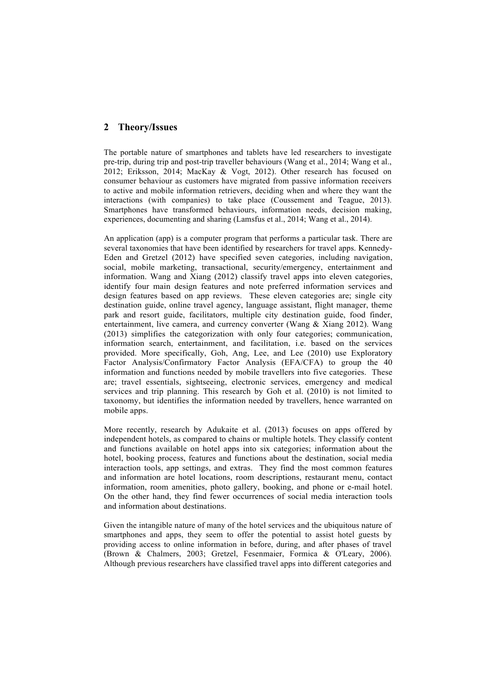# **2 Theory/Issues**

The portable nature of smartphones and tablets have led researchers to investigate pre-trip, during trip and post-trip traveller behaviours (Wang et al., 2014; Wang et al., 2012; Eriksson, 2014; MacKay & Vogt, 2012). Other research has focused on consumer behaviour as customers have migrated from passive information receivers to active and mobile information retrievers, deciding when and where they want the interactions (with companies) to take place (Coussement and Teague, 2013). Smartphones have transformed behaviours, information needs, decision making, experiences, documenting and sharing (Lamsfus et al., 2014; Wang et al., 2014).

An application (app) is a computer program that performs a particular task. There are several taxonomies that have been identified by researchers for travel apps. Kennedy-Eden and Gretzel (2012) have specified seven categories, including navigation, social, mobile marketing, transactional, security/emergency, entertainment and information. Wang and Xiang (2012) classify travel apps into eleven categories, identify four main design features and note preferred information services and design features based on app reviews. These eleven categories are; single city destination guide, online travel agency, language assistant, flight manager, theme park and resort guide, facilitators, multiple city destination guide, food finder, entertainment, live camera, and currency converter (Wang & Xiang 2012). Wang (2013) simplifies the categorization with only four categories; communication, information search, entertainment, and facilitation, i.e. based on the services provided. More specifically, Goh, Ang, Lee, and Lee (2010) use Exploratory Factor Analysis/Confirmatory Factor Analysis (EFA/CFA) to group the 40 information and functions needed by mobile travellers into five categories. These are; travel essentials, sightseeing, electronic services, emergency and medical services and trip planning. This research by Goh et al. (2010) is not limited to taxonomy, but identifies the information needed by travellers, hence warranted on mobile apps.

More recently, research by Adukaite et al. (2013) focuses on apps offered by independent hotels, as compared to chains or multiple hotels. They classify content and functions available on hotel apps into six categories; information about the hotel, booking process, features and functions about the destination, social media interaction tools, app settings, and extras. They find the most common features and information are hotel locations, room descriptions, restaurant menu, contact information, room amenities, photo gallery, booking, and phone or e-mail hotel. On the other hand, they find fewer occurrences of social media interaction tools and information about destinations.

Given the intangible nature of many of the hotel services and the ubiquitous nature of smartphones and apps, they seem to offer the potential to assist hotel guests by providing access to online information in before, during, and after phases of travel (Brown & Chalmers, 2003; Gretzel, Fesenmaier, Formica & O'Leary, 2006). Although previous researchers have classified travel apps into different categories and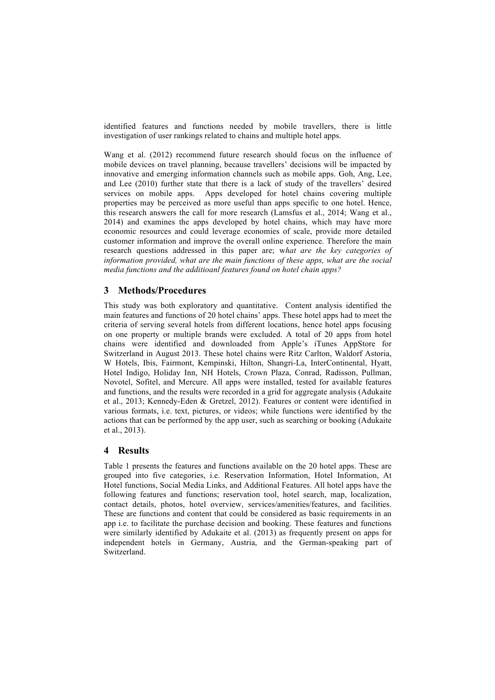identified features and functions needed by mobile travellers, there is little investigation of user rankings related to chains and multiple hotel apps.

Wang et al. (2012) recommend future research should focus on the influence of mobile devices on travel planning, because travellers' decisions will be impacted by innovative and emerging information channels such as mobile apps. Goh, Ang, Lee, and Lee (2010) further state that there is a lack of study of the travellers' desired services on mobile apps. Apps developed for hotel chains covering multiple properties may be perceived as more useful than apps specific to one hotel. Hence, this research answers the call for more research (Lamsfus et al., 2014; Wang et al., 2014) and examines the apps developed by hotel chains, which may have more economic resources and could leverage economies of scale, provide more detailed customer information and improve the overall online experience. Therefore the main research questions addressed in this paper are; w*hat are the key categories of information provided, what are the main functions of these apps, what are the social media functions and the additioanl features found on hotel chain apps?* 

### **3 Methods/Procedures**

This study was both exploratory and quantitative. Content analysis identified the main features and functions of 20 hotel chains' apps. These hotel apps had to meet the criteria of serving several hotels from different locations, hence hotel apps focusing on one property or multiple brands were excluded. A total of 20 apps from hotel chains were identified and downloaded from Apple's iTunes AppStore for Switzerland in August 2013. These hotel chains were Ritz Carlton, Waldorf Astoria, W Hotels, Ibis, Fairmont, Kempinski, Hilton, Shangri-La, InterContinental, Hyatt, Hotel Indigo, Holiday Inn, NH Hotels, Crown Plaza, Conrad, Radisson, Pullman, Novotel, Sofitel, and Mercure. All apps were installed, tested for available features and functions, and the results were recorded in a grid for aggregate analysis (Adukaite et al., 2013; Kennedy-Eden & Gretzel, 2012). Features or content were identified in various formats, i.e. text, pictures, or videos; while functions were identified by the actions that can be performed by the app user, such as searching or booking (Adukaite et al., 2013).

### **4 Results**

Table 1 presents the features and functions available on the 20 hotel apps. These are grouped into five categories, i.e. Reservation Information, Hotel Information, At Hotel functions, Social Media Links, and Additional Features. All hotel apps have the following features and functions; reservation tool, hotel search, map, localization, contact details, photos, hotel overview, services/amenities/features, and facilities. These are functions and content that could be considered as basic requirements in an app i.e. to facilitate the purchase decision and booking. These features and functions were similarly identified by Adukaite et al. (2013) as frequently present on apps for independent hotels in Germany, Austria, and the German-speaking part of Switzerland.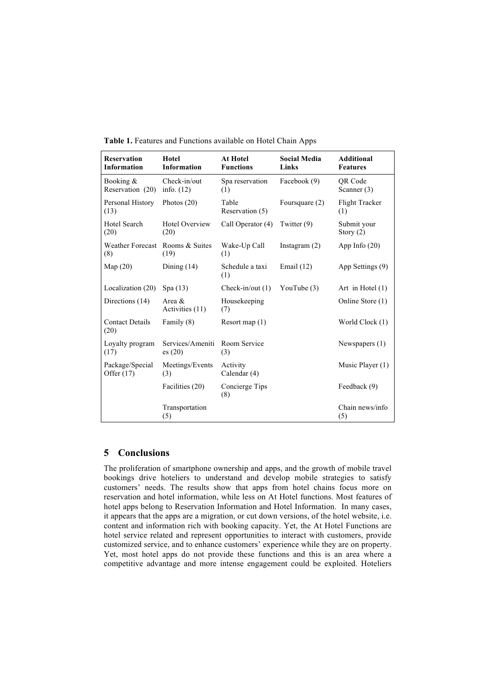| <b>Reservation</b><br><b>Information</b> | Hotel<br><b>Information</b>   | <b>At Hotel</b><br><b>Functions</b> | <b>Social Media</b><br>Links | <b>Additional</b><br><b>Features</b> |
|------------------------------------------|-------------------------------|-------------------------------------|------------------------------|--------------------------------------|
| Booking &<br>Reservation (20)            | Check-in/out<br>info. $(12)$  | Spa reservation<br>(1)              | Facebook (9)                 | OR Code<br>Scanner $(3)$             |
| Personal History<br>(13)                 | Photos $(20)$                 | Table<br>Reservation (5)            | Foursquare (2)               | Flight Tracker<br>(1)                |
| Hotel Search<br>(20)                     | <b>Hotel Overview</b><br>(20) | Call Operator (4)                   | Twitter $(9)$                | Submit your<br>Story $(2)$           |
| Weather Forecast Rooms & Suites<br>(8)   | (19)                          | Wake-Up Call<br>(1)                 | Instagram $(2)$              | App Info $(20)$                      |
| Map $(20)$                               | Dining $(14)$                 | Schedule a taxi<br>(1)              | Email $(12)$                 | App Settings (9)                     |
| Localization (20)                        | Spa(13)                       | Check-in/out $(1)$                  | YouTube $(3)$                | Art in Hotel $(1)$                   |
| Directions (14)                          | Area $\&$<br>Activities (11)  | Housekeeping<br>(7)                 |                              | Online Store (1)                     |
| <b>Contact Details</b><br>(20)           | Family (8)                    | Resort map $(1)$                    |                              | World Clock (1)                      |
| Loyalty program<br>(17)                  | Services/Ameniti<br>es(20)    | Room Service<br>(3)                 |                              | Newspapers $(1)$                     |
| Package/Special<br>Offer $(17)$          | Meetings/Events<br>(3)        | Activity<br>Calendar (4)            |                              | Music Player (1)                     |
|                                          | Facilities (20)               | Concierge Tips<br>(8)               |                              | Feedback (9)                         |
|                                          | Transportation<br>(5)         |                                     |                              | Chain news/info<br>(5)               |

**Table 1.** Features and Functions available on Hotel Chain Apps

# **5 Conclusions**

The proliferation of smartphone ownership and apps, and the growth of mobile travel bookings drive hoteliers to understand and develop mobile strategies to satisfy customers' needs. The results show that apps from hotel chains focus more on reservation and hotel information, while less on At Hotel functions. Most features of hotel apps belong to Reservation Information and Hotel Information. In many cases, it appears that the apps are a migration, or cut down versions, of the hotel website, i.e. content and information rich with booking capacity. Yet, the At Hotel Functions are hotel service related and represent opportunities to interact with customers, provide customized service, and to enhance customers' experience while they are on property. Yet, most hotel apps do not provide these functions and this is an area where a competitive advantage and more intense engagement could be exploited. Hoteliers